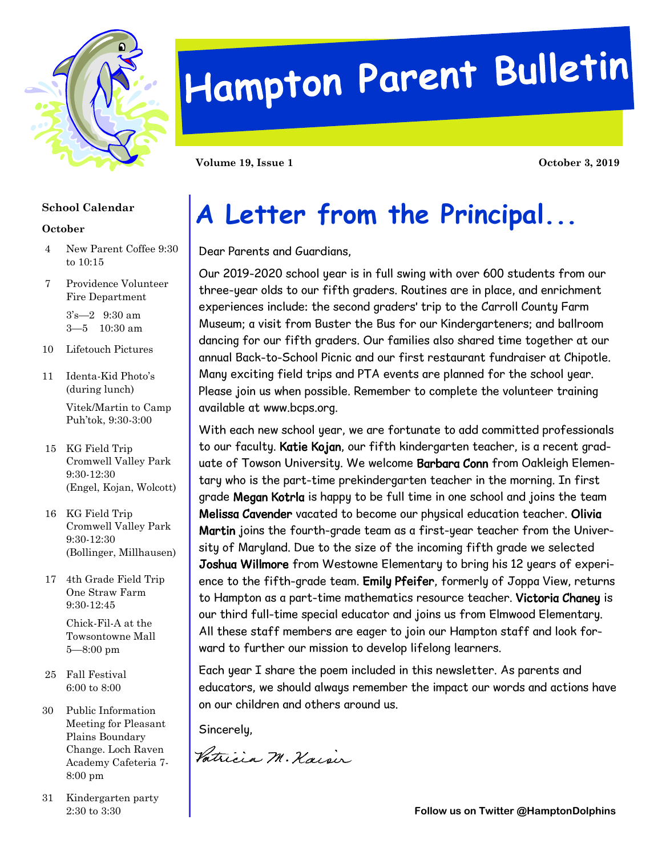

# Hampton Parent Bulletin

**Volume 19, Issue 1 October 3, 2019** 

#### **School Calendar**

#### **October**

- 4 New Parent Coffee 9:30 to 10:15
- 7 Providence Volunteer Fire Department

3's—2 9:30 am 3—5 10:30 am

- 10 Lifetouch Pictures
- 11 Identa-Kid Photo's (during lunch) Vitek/Martin to Camp
- Puh'tok, 9:30-3:00 15 KG Field Trip
- Cromwell Valley Park 9:30-12:30 (Engel, Kojan, Wolcott)
- 16 KG Field Trip Cromwell Valley Park 9:30-12:30 (Bollinger, Millhausen)
- 17 4th Grade Field Trip One Straw Farm 9:30-12:45

Chick-Fil-A at the Towsontowne Mall 5—8:00 pm

- 25 Fall Festival 6:00 to 8:00
- 30 Public Information Meeting for Pleasant Plains Boundary Change. Loch Raven Academy Cafeteria 7- 8:00 pm
- 31 Kindergarten party

## **A Letter from the Principal...**

Dear Parents and Guardians,

Our 2019-2020 school year is in full swing with over 600 students from our three-year olds to our fifth graders. Routines are in place, and enrichment experiences include: the second graders' trip to the Carroll County Farm Museum; a visit from Buster the Bus for our Kindergarteners; and ballroom dancing for our fifth graders. Our families also shared time together at our annual Back-to-School Picnic and our first restaurant fundraiser at Chipotle. Many exciting field trips and PTA events are planned for the school year. Please join us when possible. Remember to complete the volunteer training available at www.bcps.org.

With each new school year, we are fortunate to add committed professionals to our faculty. Katie Kojan, our fifth kindergarten teacher, is a recent graduate of Towson University. We welcome Barbara Conn from Oakleigh Elementary who is the part-time prekindergarten teacher in the morning. In first grade Megan Kotrla is happy to be full time in one school and joins the team Melissa Cavender vacated to become our physical education teacher. Olivia Martin joins the fourth-grade team as a first-year teacher from the University of Maryland. Due to the size of the incoming fifth grade we selected Joshua Willmore from Westowne Elementary to bring his 12 years of experience to the fifth-grade team. Emily Pfeifer, formerly of Joppa View, returns to Hampton as a part-time mathematics resource teacher. Victoria Chaney is our third full-time special educator and joins us from Elmwood Elementary. All these staff members are eager to join our Hampton staff and look forward to further our mission to develop lifelong learners.

Each year I share the poem included in this newsletter. As parents and educators, we should always remember the impact our words and actions have on our children and others around us.

Sincerely,

Vatricia M. Kaisir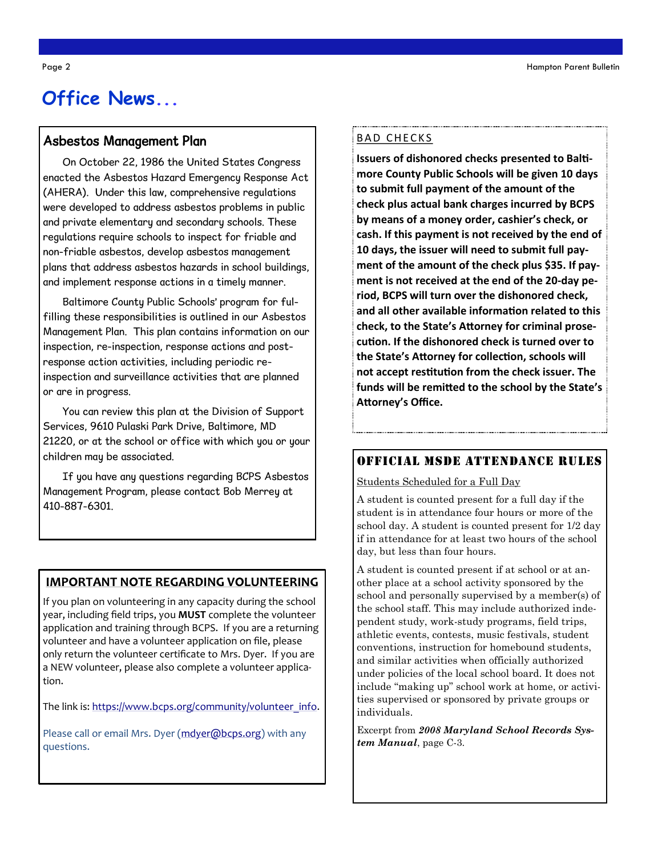### **Office News...**

#### Asbestos Management Plan

On October 22, 1986 the United States Congress enacted the Asbestos Hazard Emergency Response Act (AHERA). Under this law, comprehensive regulations were developed to address asbestos problems in public and private elementary and secondary schools. These regulations require schools to inspect for friable and non-friable asbestos, develop asbestos management plans that address asbestos hazards in school buildings, and implement response actions in a timely manner.

Baltimore County Public Schools' program for fulfilling these responsibilities is outlined in our Asbestos Management Plan. This plan contains information on our inspection, re-inspection, response actions and postresponse action activities, including periodic reinspection and surveillance activities that are planned or are in progress.

You can review this plan at the Division of Support Services, 9610 Pulaski Park Drive, Baltimore, MD 21220, or at the school or office with which you or your children may be associated.

If you have any questions regarding BCPS Asbestos Management Program, please contact Bob Merrey at 410-887-6301.

#### **IMPORTANT NOTE REGARDING VOLUNTEERING**

If you plan on volunteering in any capacity during the school year, including field trips, you **MUST** complete the volunteer application and training through BCPS. If you are a returning volunteer and have a volunteer application on file, please only return the volunteer certificate to Mrs. Dyer. If you are a NEW volunteer, please also complete a volunteer application.

The link is: [https://www.bcps.org/community/volunteer\\_info.](https://www.bcps.org/community/volunteer_info)

Please call or email Mrs. Dyer ([mdyer@bcps.org\)](mailto:mdyer@bcps.org) with any questions.

#### BAD CHECKS

**Issuers of dishonored checks presented to Baltimore County Public Schools will be given 10 days to submit full payment of the amount of the check plus actual bank charges incurred by BCPS by means of a money order, cashier's check, or cash. If this payment is not received by the end of 10 days, the issuer will need to submit full payment of the amount of the check plus \$35. If payment is not received at the end of the 20-day period, BCPS will turn over the dishonored check, and all other available information related to this check, to the State's Attorney for criminal prosecution. If the dishonored check is turned over to the State's Attorney for collection, schools will not accept restitution from the check issuer. The funds will be remitted to the school by the State's Attorney's Office.** 

#### Official MSDE Attendance Rules

Students Scheduled for a Full Day

A student is counted present for a full day if the student is in attendance four hours or more of the school day. A student is counted present for 1/2 day if in attendance for at least two hours of the school day, but less than four hours.

A student is counted present if at school or at another place at a school activity sponsored by the school and personally supervised by a member(s) of the school staff. This may include authorized independent study, work-study programs, field trips, athletic events, contests, music festivals, student conventions, instruction for homebound students, and similar activities when officially authorized under policies of the local school board. It does not include "making up" school work at home, or activities supervised or sponsored by private groups or individuals.

Excerpt from *2008 Maryland School Records System Manual*, page C-3.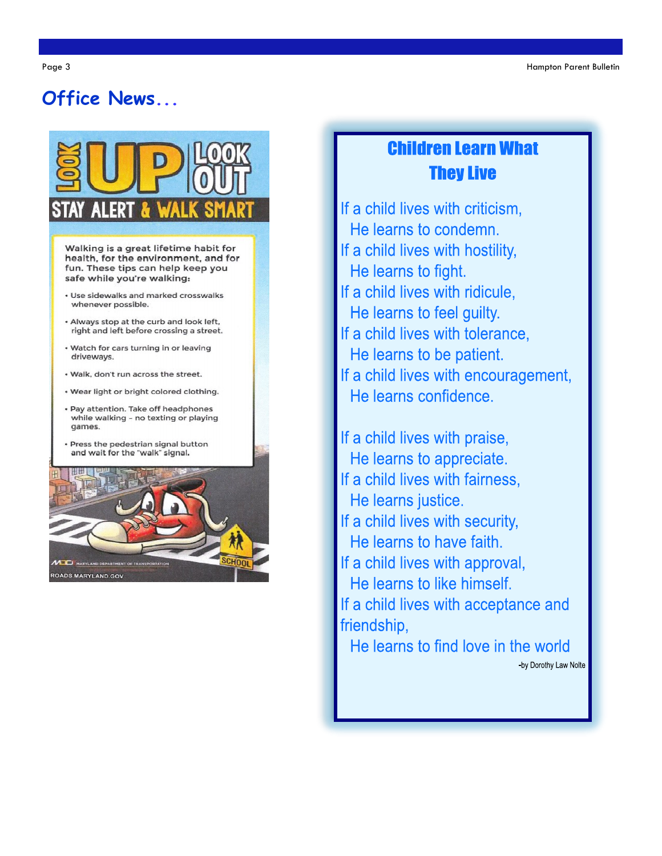### Office News



Walking is a great lifetime habit for health, for the environment, and for fun. These tips can help keep you safe while you're walking:

- · Use sidewalks and marked crosswalks whenever possible.
- Always stop at the curb and look left, right and left before crossing a street.
- . Watch for cars turning in or leaving driveways.
- . Walk, don't run across the street.
- · Wear light or bright colored clothing.
- · Pay attention. Take off headphones while walking - no texting or playing games.
- · Press the pedestrian signal button and wait for the "walk" signal.



### **Children Learn What They Live**

If a child lives with criticism. He learns to condemn. If a child lives with hostility, He learns to fight. If a child lives with ridicule. He learns to feel guilty. If a child lives with tolerance. He learns to be patient. If a child lives with encouragement, He learns confidence.

If a child lives with praise, He learns to appreciate. If a child lives with fairness, He learns justice. If a child lives with security, He learns to have faith. If a child lives with approval, He learns to like himself. If a child lives with acceptance and friendship. He learns to find love in the world

-by Dorothy Law Nolte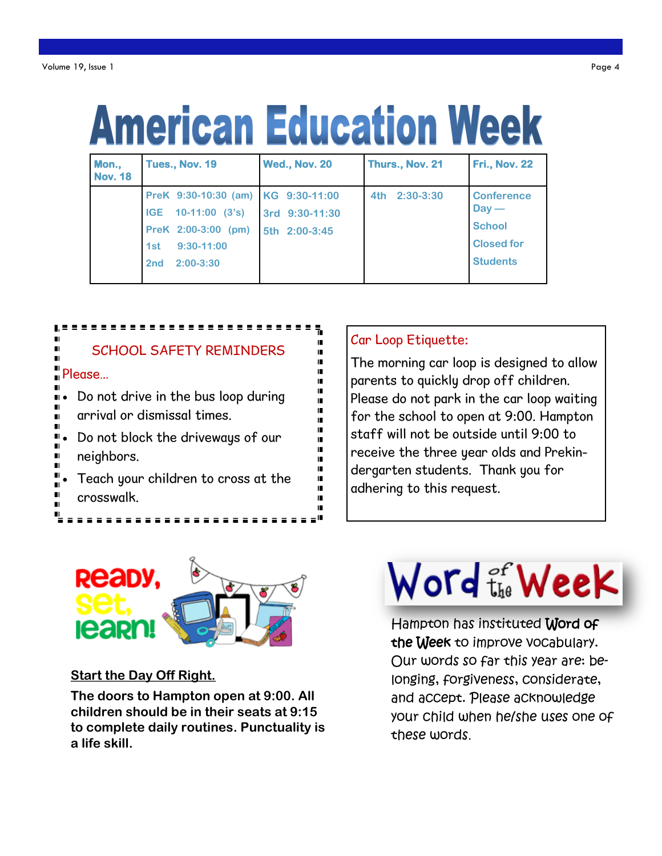## **American Education Week**

| Mon.,<br><b>Nov. 18</b> | Tues., Nov. 19                     | <b>Wed., Nov. 20</b> | Thurs., Nov. 21    | <b>Fri., Nov. 22</b> |
|-------------------------|------------------------------------|----------------------|--------------------|----------------------|
|                         | PreK 9:30-10:30 (am) KG 9:30-11:00 |                      | $2:30-3:30$<br>4th | <b>Conference</b>    |
|                         | $10-11:00$ $(3's)$<br><b>IGE</b>   | 3rd 9:30-11:30       |                    | $Day -$              |
|                         | PreK 2:00-3:00 (pm)                | 5th 2:00-3:45        |                    | <b>School</b>        |
|                         | $9:30-11:00$<br>1st                |                      |                    | <b>Closed for</b>    |
|                         | $2:00-3:30$<br>2nd                 |                      |                    | <b>Students</b>      |



#### Car Loop Etiquette:

The morning car loop is designed to allow parents to quickly drop off children. Please do not park in the car loop waiting for the school to open at 9:00. Hampton staff will not be outside until 9:00 to receive the three year olds and Prekindergarten students. Thank you for adhering to this request.



#### **Start the Day Off Right.**

**The doors to Hampton open at 9:00. All children should be in their seats at 9:15 to complete daily routines. Punctuality is a life skill.**

## Word the Week

Hampton has instituted Word of the Week to improve vocabulary. Our words so far this year are: belonging, forgiveness, considerate, and accept. Please acknowledge your child when he/she uses one of these words.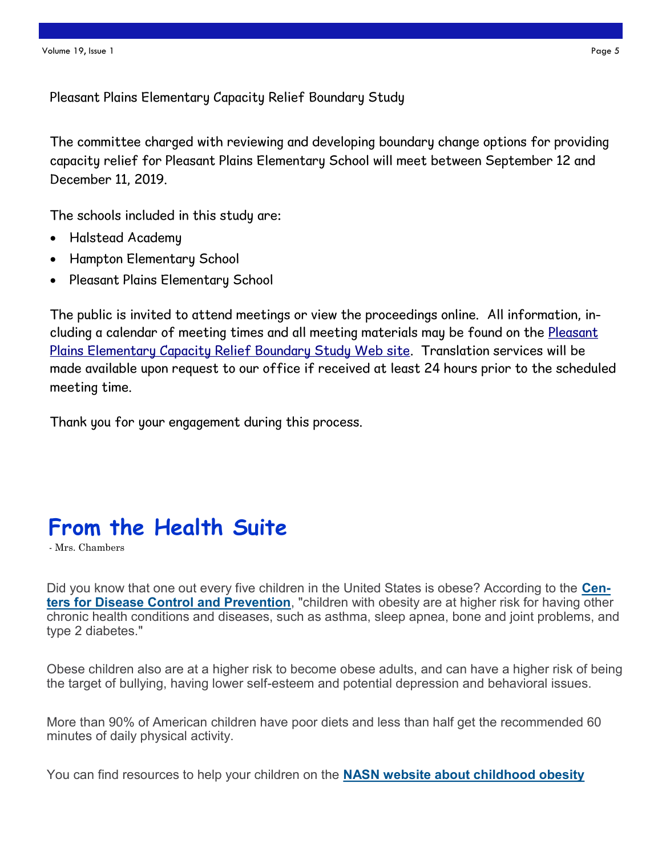Pleasant Plains Elementary Capacity Relief Boundary Study

The committee charged with reviewing and developing boundary change options for providing capacity relief for Pleasant Plains Elementary School will meet between September 12 and December 11, 2019.

The schools included in this study are:

- Halstead Academy
- Hampton Elementary School
- Pleasant Plains Elementary School

The public is invited to attend meetings or view the proceedings online. All information, including a calendar of meeting times and all meeting materials may be found on the Pleasant [Plains Elementary Capacity Relief Boundary Study Web site.](http://www.bcps.org/construction/PleasantPlainsES/) Translation services will be made available upon request to our office if received at least 24 hours prior to the scheduled meeting time.

Thank you for your engagement during this process.

## **From the Health Suite**

- Mrs. Chambers

Did you know that one out every five children in the United States is obese? According to the **[Cen](http://r20.rs6.net/tn.jsp?f=001tzMHM7zSiZ6t4UC33-lkWShojJNypzYKcOBXF1-Xg-IvgPzxEXRI7E1ZquV4mkkw_DDfvSO9CFabw_VXkvplPrkCZt7bGeRN6nLdUJdL8OGryASkDElnVVcWjegqS6Joi7HRsz_yObF7ljHoDZtwra6i-vNoHROYsPUmasEnOrbvnQM-K_f9UCQZFaytfh6G&c=Fi8AQPTjHqoNLuAHFSYs4ORHwZ0YL_eDr)[ters for Disease Control and Prevention](http://r20.rs6.net/tn.jsp?f=001tzMHM7zSiZ6t4UC33-lkWShojJNypzYKcOBXF1-Xg-IvgPzxEXRI7E1ZquV4mkkw_DDfvSO9CFabw_VXkvplPrkCZt7bGeRN6nLdUJdL8OGryASkDElnVVcWjegqS6Joi7HRsz_yObF7ljHoDZtwra6i-vNoHROYsPUmasEnOrbvnQM-K_f9UCQZFaytfh6G&c=Fi8AQPTjHqoNLuAHFSYs4ORHwZ0YL_eDr)**, "children with obesity are at higher risk for having other chronic health conditions and diseases, such as asthma, sleep apnea, bone and joint problems, and type 2 diabetes."

Obese children also are at a higher risk to become obese adults, and can have a higher risk of being the target of bullying, having lower self-esteem and potential depression and behavioral issues.

More than 90% of American children have poor diets and less than half get the recommended 60 minutes of daily physical activity.

You can find resources to help your children on the **[NASN website about childhood obesity](http://r20.rs6.net/tn.jsp?f=001tzMHM7zSiZ6t4UC33-lkWShojJNypzYKcOBXF1-Xg-IvgPzxEXRI7IS63QyNtkOBYcwoLtCwQMBe5hFsWpQibYWrVAb8X5GW9SBLDQIM1BX5vhbuo4WtFJTewTu57WGtp_9e1Sdjc93flomRIxQScY1OWuEphFahoacjIJOpwZukJtxq-BzRBPNDI7wAtAS6KPMhWhE_RThoob3FTpivsaujF44etr4h&c=F)**